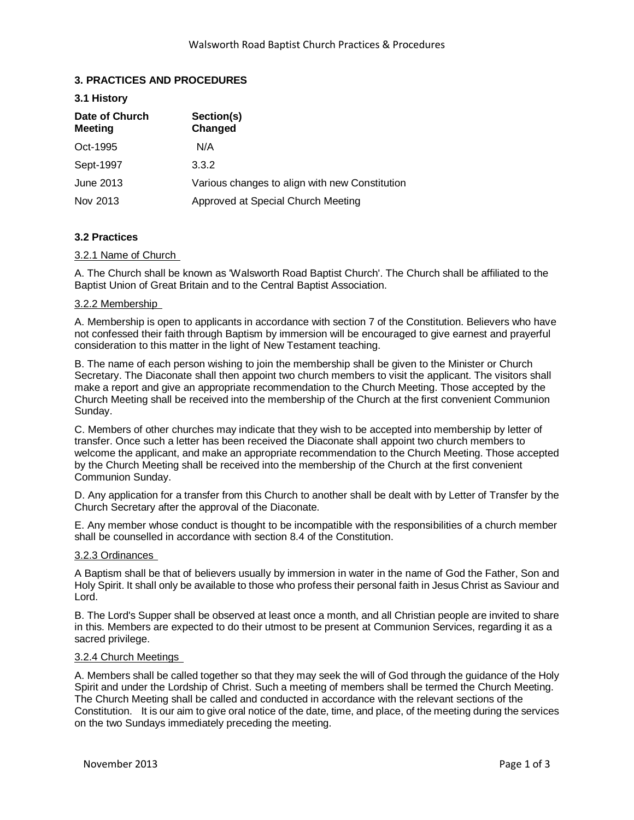# **3. PRACTICES AND PROCEDURES**

#### **3.1 History**

| Date of Church<br><b>Meeting</b> | Section(s)<br>Changed                          |
|----------------------------------|------------------------------------------------|
| Oct-1995                         | N/A                                            |
| Sept-1997                        | 3.3.2                                          |
| June 2013                        | Various changes to align with new Constitution |
| Nov 2013                         | Approved at Special Church Meeting             |

# **3.2 Practices**

# 3.2.1 Name of Church

A. The Church shall be known as 'Walsworth Road Baptist Church'. The Church shall be affiliated to the Baptist Union of Great Britain and to the Central Baptist Association.

### 3.2.2 Membership

A. Membership is open to applicants in accordance with section 7 of the Constitution. Believers who have not confessed their faith through Baptism by immersion will be encouraged to give earnest and prayerful consideration to this matter in the light of New Testament teaching.

B. The name of each person wishing to join the membership shall be given to the Minister or Church Secretary. The Diaconate shall then appoint two church members to visit the applicant. The visitors shall make a report and give an appropriate recommendation to the Church Meeting. Those accepted by the Church Meeting shall be received into the membership of the Church at the first convenient Communion Sunday.

C. Members of other churches may indicate that they wish to be accepted into membership by letter of transfer. Once such a letter has been received the Diaconate shall appoint two church members to welcome the applicant, and make an appropriate recommendation to the Church Meeting. Those accepted by the Church Meeting shall be received into the membership of the Church at the first convenient Communion Sunday.

D. Any application for a transfer from this Church to another shall be dealt with by Letter of Transfer by the Church Secretary after the approval of the Diaconate.

E. Any member whose conduct is thought to be incompatible with the responsibilities of a church member shall be counselled in accordance with section 8.4 of the Constitution.

### 3.2.3 Ordinances

A Baptism shall be that of believers usually by immersion in water in the name of God the Father, Son and Holy Spirit. It shall only be available to those who profess their personal faith in Jesus Christ as Saviour and Lord.

B. The Lord's Supper shall be observed at least once a month, and all Christian people are invited to share in this. Members are expected to do their utmost to be present at Communion Services, regarding it as a sacred privilege.

#### 3.2.4 Church Meetings

A. Members shall be called together so that they may seek the will of God through the guidance of the Holy Spirit and under the Lordship of Christ. Such a meeting of members shall be termed the Church Meeting. The Church Meeting shall be called and conducted in accordance with the relevant sections of the Constitution. It is our aim to give oral notice of the date, time, and place, of the meeting during the services on the two Sundays immediately preceding the meeting.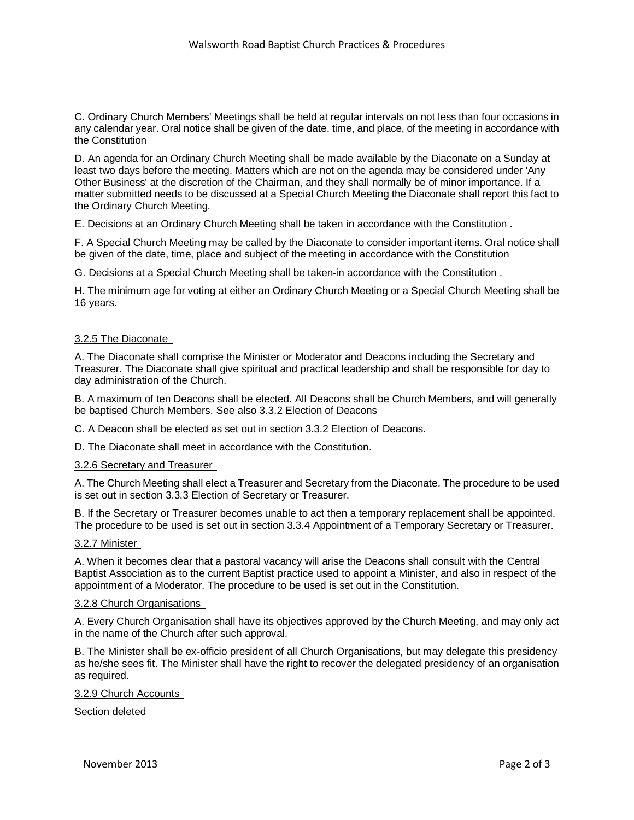C. Ordinary Church Members' Meetings shall be held at regular intervals on not less than four occasions in any calendar year. Oral notice shall be given of the date, time, and place, of the meeting in accordance with the Constitution

D. An agenda for an Ordinary Church Meeting shall be made available by the Diaconate on a Sunday at least two days before the meeting. Matters which are not on the agenda may be considered under 'Any Other Business' at the discretion of the Chairman, and they shall normally be of minor importance. If a matter submitted needs to be discussed at a Special Church Meeting the Diaconate shall report this fact to the Ordinary Church Meeting.

E. Decisions at an Ordinary Church Meeting shall be taken in accordance with the Constitution .

F. A Special Church Meeting may be called by the Diaconate to consider important items. Oral notice shall be given of the date, time, place and subject of the meeting in accordance with the Constitution

G. Decisions at a Special Church Meeting shall be taken in accordance with the Constitution .

H. The minimum age for voting at either an Ordinary Church Meeting or a Special Church Meeting shall be 16 years.

# 3.2.5 The Diaconate

A. The Diaconate shall comprise the Minister or Moderator and Deacons including the Secretary and Treasurer. The Diaconate shall give spiritual and practical leadership and shall be responsible for day to day administration of the Church.

B. A maximum of ten Deacons shall be elected. AlI Deacons shall be Church Members, and will generally be baptised Church Members. See also 3.3.2 Election of Deacons

C. A Deacon shall be elected as set out in section 3.3.2 Election of Deacons.

D. The Diaconate shall meet in accordance with the Constitution.

#### 3.2.6 Secretary and Treasurer

A. The Church Meeting shall elect a Treasurer and Secretary from the Diaconate. The procedure to be used is set out in section 3.3.3 Election of Secretary or Treasurer.

B. If the Secretary or Treasurer becomes unable to act then a temporary replacement shall be appointed. The procedure to be used is set out in section 3.3.4 Appointment of a Temporary Secretary or Treasurer.

#### 3.2.7 Minister

A. When it becomes clear that a pastoral vacancy will arise the Deacons shall consult with the Central Baptist Association as to the current Baptist practice used to appoint a Minister, and also in respect of the appointment of a Moderator. The procedure to be used is set out in the Constitution.

### 3.2.8 Church Organisations

A. Every Church Organisation shall have its objectives approved by the Church Meeting, and may only act in the name of the Church after such approval.

B. The Minister shall be ex-officio president of all Church Organisations, but may delegate this presidency as he/she sees fit. The Minister shall have the right to recover the delegated presidency of an organisation as required.

### 3.2.9 Church Accounts

Section deleted